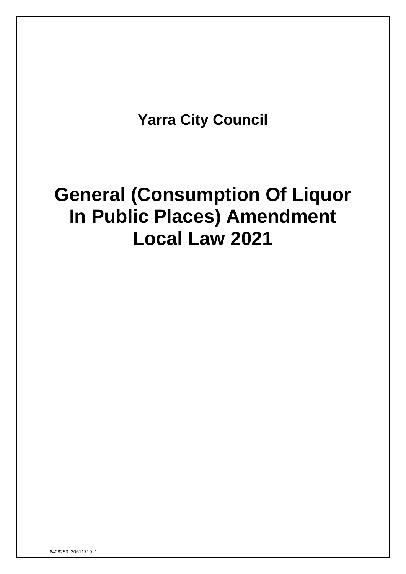**Yarra City Council**

# **General (Consumption Of Liquor In Public Places) Amendment Local Law 2021**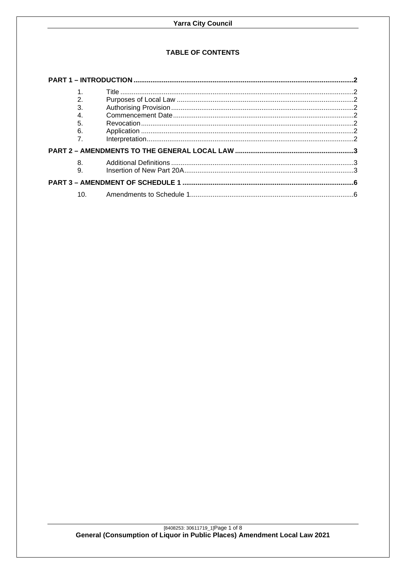## **TABLE OF CONTENTS**

| 2.               |  |
|------------------|--|
| $\overline{3}$ . |  |
| $\overline{4}$ . |  |
| 5.               |  |
| 6.               |  |
| $\overline{7}$ . |  |
|                  |  |
| 8.               |  |
| 9.               |  |
|                  |  |
| 10 <sub>l</sub>  |  |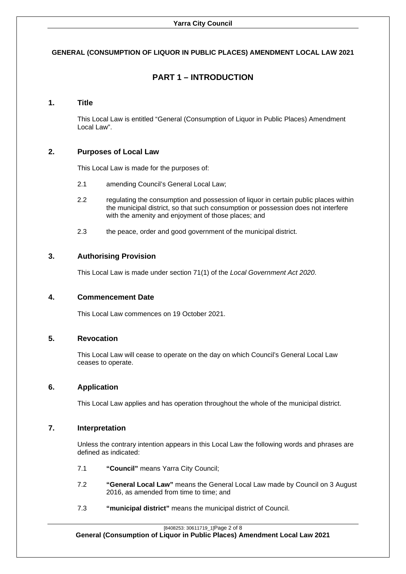## <span id="page-2-0"></span>**GENERAL (CONSUMPTION OF LIQUOR IN PUBLIC PLACES) AMENDMENT LOCAL LAW 2021**

# **PART 1 – INTRODUCTION**

## <span id="page-2-1"></span>**1. Title**

This Local Law is entitled "General (Consumption of Liquor in Public Places) Amendment Local Law".

## <span id="page-2-2"></span>**2. Purposes of Local Law**

This Local Law is made for the purposes of:

- 2.1 amending Council's General Local Law;
- 2.2 regulating the consumption and possession of liquor in certain public places within the municipal district, so that such consumption or possession does not interfere with the amenity and enjoyment of those places; and
- 2.3 the peace, order and good government of the municipal district.

## <span id="page-2-3"></span>**3. Authorising Provision**

This Local Law is made under section 71(1) of the *Local Government Act 2020*.

## <span id="page-2-4"></span>**4. Commencement Date**

This Local Law commences on 19 October 2021.

## <span id="page-2-5"></span>**5. Revocation**

This Local Law will cease to operate on the day on which Council's General Local Law ceases to operate.

## <span id="page-2-6"></span>**6. Application**

This Local Law applies and has operation throughout the whole of the municipal district.

## <span id="page-2-7"></span>**7. Interpretation**

Unless the contrary intention appears in this Local Law the following words and phrases are defined as indicated:

- 7.1 **"Council"** means Yarra City Council;
- 7.2 **"General Local Law"** means the General Local Law made by Council on 3 August 2016, as amended from time to time; and
- 7.3 **"municipal district"** means the municipal district of Council.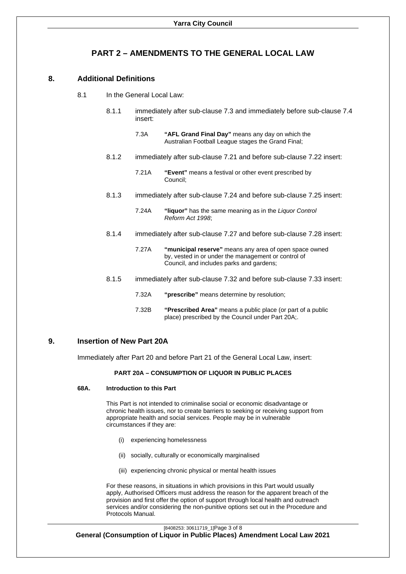## **PART 2 – AMENDMENTS TO THE GENERAL LOCAL LAW**

## <span id="page-3-1"></span><span id="page-3-0"></span>**8. Additional Definitions**

- 8.1 In the General Local Law:
	- 8.1.1 immediately after sub-clause 7.3 and immediately before sub-clause 7.4 insert:
		- 7.3A **"AFL Grand Final Day"** means any day on which the Australian Football League stages the Grand Final;
	- 8.1.2 immediately after sub-clause 7.21 and before sub-clause 7.22 insert:
		- 7.21A **"Event"** means a festival or other event prescribed by Council;
	- 8.1.3 immediately after sub-clause 7.24 and before sub-clause 7.25 insert:
		- 7.24A **"liquor"** has the same meaning as in the *Liquor Control Reform Act 1998*;
	- 8.1.4 immediately after sub-clause 7.27 and before sub-clause 7.28 insert:
		- 7.27A **"municipal reserve"** means any area of open space owned by, vested in or under the management or control of Council, and includes parks and gardens;
	- 8.1.5 immediately after sub-clause 7.32 and before sub-clause 7.33 insert:
		- 7.32A **"prescribe"** means determine by resolution;
			- 7.32B **"Prescribed Area"** means a public place (or part of a public place) prescribed by the Council under Part 20A;.

## <span id="page-3-2"></span>**9. Insertion of New Part 20A**

Immediately after Part 20 and before Part 21 of the General Local Law, insert:

#### **PART 20A – CONSUMPTION OF LIQUOR IN PUBLIC PLACES**

#### **68A. Introduction to this Part**

This Part is not intended to criminalise social or economic disadvantage or chronic health issues, nor to create barriers to seeking or receiving support from appropriate health and social services. People may be in vulnerable circumstances if they are:

- (i) experiencing homelessness
- (ii) socially, culturally or economically marginalised
- (iii) experiencing chronic physical or mental health issues

For these reasons, in situations in which provisions in this Part would usually apply, Authorised Officers must address the reason for the apparent breach of the provision and first offer the option of support through local health and outreach services and/or considering the non-punitive options set out in the Procedure and Protocols Manual.

[8408253: 30611719\_1]Page 3 of 8

**General (Consumption of Liquor in Public Places) Amendment Local Law 2021**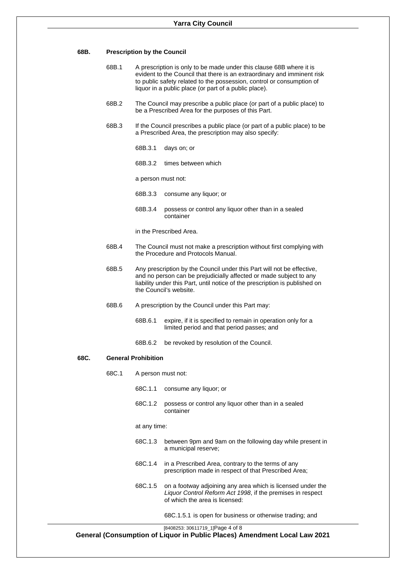| 68B. |  | <b>Prescription by the Council</b> |  |
|------|--|------------------------------------|--|
|------|--|------------------------------------|--|

| 68B.1 | A prescription is only to be made under this clause 68B where it is     |  |  |
|-------|-------------------------------------------------------------------------|--|--|
|       | evident to the Council that there is an extraordinary and imminent risk |  |  |
|       | to public safety related to the possession, control or consumption of   |  |  |
|       | liquor in a public place (or part of a public place).                   |  |  |

- 68B.2 The Council may prescribe a public place (or part of a public place) to be a Prescribed Area for the purposes of this Part.
- 68B.3 If the Council prescribes a public place (or part of a public place) to be a Prescribed Area, the prescription may also specify:
	- 68B.3.1 days on; or
	- 68B.3.2 times between which
	- a person must not:
	- 68B.3.3 consume any liquor; or
	- 68B.3.4 possess or control any liquor other than in a sealed container
	- in the Prescribed Area.
- 68B.4 The Council must not make a prescription without first complying with the Procedure and Protocols Manual.
- 68B.5 Any prescription by the Council under this Part will not be effective, and no person can be prejudicially affected or made subject to any liability under this Part, until notice of the prescription is published on the Council's website.
- 68B.6 A prescription by the Council under this Part may:
	- 68B.6.1 expire, if it is specified to remain in operation only for a limited period and that period passes; and
	- 68B.6.2 be revoked by resolution of the Council.

#### **68C. General Prohibition**

- 68C.1 A person must not:
	- 68C.1.1 consume any liquor; or
	- 68C.1.2 possess or control any liquor other than in a sealed container

at any time:

- 68C.1.3 between 9pm and 9am on the following day while present in a municipal reserve;
- 68C.1.4 in a Prescribed Area, contrary to the terms of any prescription made in respect of that Prescribed Area;
- 68C.1.5 on a footway adjoining any area which is licensed under the *Liquor Control Reform Act 1998*, if the premises in respect of which the area is licensed:

68C.1.5.1 is open for business or otherwise trading; and

[8408253: 30611719\_1]Page 4 of 8

**General (Consumption of Liquor in Public Places) Amendment Local Law 2021**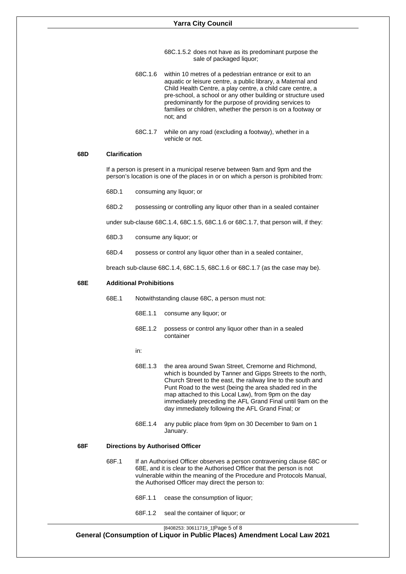- 68C.1.5.2 does not have as its predominant purpose the sale of packaged liquor;
- 68C.1.6 within 10 metres of a pedestrian entrance or exit to an aquatic or leisure centre, a public library, a Maternal and Child Health Centre, a play centre, a child care centre, a pre-school, a school or any other building or structure used predominantly for the purpose of providing services to families or children, whether the person is on a footway or not; and
- 68C.1.7 while on any road (excluding a footway), whether in a vehicle or not.

## **68D Clarification**

If a person is present in a municipal reserve between 9am and 9pm and the person's location is one of the places in or on which a person is prohibited from:

- 68D.1 consuming any liquor; or
- 68D.2 possessing or controlling any liquor other than in a sealed container

under sub-clause 68C.1.4, 68C.1.5, 68C.1.6 or 68C.1.7, that person will, if they:

- 68D.3 consume any liquor; or
- 68D.4 possess or control any liquor other than in a sealed container,

breach sub-clause 68C.1.4, 68C.1.5, 68C.1.6 or 68C.1.7 (as the case may be).

#### **68E Additional Prohibitions**

- 68E.1 Notwithstanding clause 68C, a person must not:
	- 68E.1.1 consume any liquor; or
	- 68E.1.2 possess or control any liquor other than in a sealed container
	- in:
	- 68E.1.3 the area around Swan Street, Cremorne and Richmond, which is bounded by Tanner and Gipps Streets to the north, Church Street to the east, the railway line to the south and Punt Road to the west (being the area shaded red in the map attached to this Local Law), from 9pm on the day immediately preceding the AFL Grand Final until 9am on the day immediately following the AFL Grand Final; or
	- 68E.1.4 any public place from 9pm on 30 December to 9am on 1 January.

#### **68F Directions by Authorised Officer**

- 68F.1 If an Authorised Officer observes a person contravening clause 68C or 68E, and it is clear to the Authorised Officer that the person is not vulnerable within the meaning of the Procedure and Protocols Manual, the Authorised Officer may direct the person to:
	- 68F.1.1 cease the consumption of liquor;
	- 68F.1.2 seal the container of liquor; or

[8408253: 30611719\_1]Page 5 of 8

**General (Consumption of Liquor in Public Places) Amendment Local Law 2021**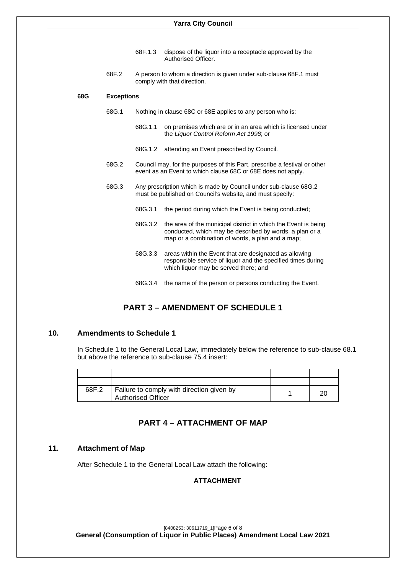- 68F.1.3 dispose of the liquor into a receptacle approved by the Authorised Officer.
- 68F.2 A person to whom a direction is given under sub-clause 68F.1 must comply with that direction.

#### **68G Exceptions**

- 68G.1 Nothing in clause 68C or 68E applies to any person who is:
	- 68G.1.1 on premises which are or in an area which is licensed under the *Liquor Control Reform Act 1998*; or
	- 68G.1.2 attending an Event prescribed by Council.
- 68G.2 Council may, for the purposes of this Part, prescribe a festival or other event as an Event to which clause 68C or 68E does not apply.
- 68G.3 Any prescription which is made by Council under sub-clause 68G.2 must be published on Council's website, and must specify:
	- 68G.3.1 the period during which the Event is being conducted;
	- 68G.3.2 the area of the municipal district in which the Event is being conducted, which may be described by words, a plan or a map or a combination of words, a plan and a map;
	- 68G.3.3 areas within the Event that are designated as allowing responsible service of liquor and the specified times during which liquor may be served there; and
	- 68G.3.4 the name of the person or persons conducting the Event.

# **PART 3 – AMENDMENT OF SCHEDULE 1**

## <span id="page-6-1"></span><span id="page-6-0"></span>**10. Amendments to Schedule 1**

In Schedule 1 to the General Local Law, immediately below the reference to sub-clause 68.1 but above the reference to sub-clause 75.4 insert:

| 68F.2 | Failure to comply with direction given by<br><b>Authorised Officer</b> |  |
|-------|------------------------------------------------------------------------|--|

# **PART 4 – ATTACHMENT OF MAP**

### **11. Attachment of Map**

After Schedule 1 to the General Local Law attach the following:

## **ATTACHMENT**